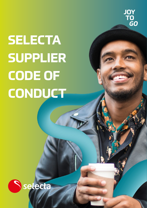

## **SELECTA SUPPLIER CODE OF CONDUCT**

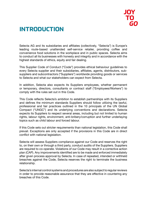

### **INTRODUCTION**

Selecta AG and its subsidiaries and affiliates (collectively, "Selecta") is Europe's leading route-based unattended self-service retailer, providing coffee and convenience food solutions in the workplace and in public spaces. Selecta aims to conduct all its businesses with honesty and integrity and in accordance with the highest standards of ethics, equity and fair dealing.

This Supplier Code of Conduct ("Code") provides ethical behaviour guidelines to every Selecta supplier and their subsidiaries, affiliates, agents, distributors, subsuppliers and subcontractors ("Suppliers") worldwide providing goods or services to Selecta and what our stakeholders can expect from Selecta.

In addition, Selecta also expects its Suppliers employees, whether permanent or temporary, directors, consultants or contract staff ("Employees/Workers") to comply with the rules set out in this Code.

This Code reflects Selecta's ambition to establish partnerships with its Suppliers and defines the minimum standards Suppliers should follow utilizing the lawful, professional and fair practices outlined in the 10 principals of the UN Global Compact ("UNGC") and its underlying conventions and declarations. Selecta expects its Suppliers to respect several areas, including but not limited to human rights, labour rights, environment, anti-bribery/corruption and further underlaying topics such as child labour and forced labour.

If this Code sets out stricter requirements than national legislation, this Code shall prevail. Exceptions are only accepted if the provisions in this Code are in direct conflict with national legislation.

Selecta will assess Suppliers compliance against our Code and reserves the right to, on their own or through a third party, conduct audits of the Suppliers. Suppliers are required to co-operate. Violations of our Code may result in a corrective action plan (CAP). Any improvements identified are to be made and enforced immediately after given process approval by Selecta. In case of repeated, intended or withheld breaches against the Code, Selecta reserves the right to terminate the business relationship.

Selecta's internal control systems and procedures are also subject to regular reviews in order to provide reasonable assurance that they are effective in countering any breaches of this Code.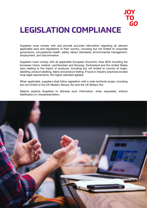### **JOY TO** GO **LEGISLATION COMPLIANCE**

Suppliers must comply with and provide accurate information regarding all relevant applicable laws and regulations of their country, including but not limited to corporate governance, occupational health, safety, labour standards, environmental management, employment, and discrimination.

Suppliers must comply with all applicable European Economic Area (EEA including the European Union, Iceland, Liechtenstein and Norway), Switzerland and the United States laws relating to the import of products, including but not limited to country of origin, labelling, product labelling, fabric and product testing. If local or industry practices exceed local legal requirements, the higher standard applies.

When applicable, suppliers shall follow legislation with a wide territorial scope, including but not limited to the UK Modern Slavery Act and the UK Bribery Act.

Selecta expects Suppliers to disclose such information, when requested, without falsification or misrepresentation.

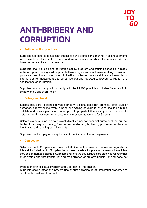

## **ANTI-BRIBERY AND CORRUPTION**

#### **• Anti-corruption practices**

Suppliers are required to act in an ethical, fair and professional manner in all engagements with Selecta and its stakeholders, and report instances where these standards are breached or are likely to be breached.

Suppliers shall have an anti-corruption policy, program and training schedule in place. Anti-corruption training shall be provided to managers and employees working in positions prone to corruption, such as but not limited to, purchasing, sales and financial transactions. Internal control measures are to be carried out and reported to prevent corruption and accusations of corruption.

Suppliers must comply with not only with the UNGC principles but also Selecta's Anti-Bribery and Corruption Policy.

#### **• Bribery and fraud**

Selecta has zero tolerance towards bribery. Selecta does not promise, offer, give or authorise, directly or indirectly, a bribe or anything of value to anyone (including public officials and private persons) to attempt to improperly influence any act or decision to obtain or retain business, or to secure any improper advantage for Selecta.

Selecta expects Suppliers to prevent direct or indirect financial crime such as but not limited to, money laundering, fraud or embezzlement, by having processes in place for identifying and handling such incidents.

Suppliers shall not pay or accept any kick-backs or facilitation payments.

#### **• Competition**

Selecta expects Suppliers to follow the EU Competition rules on free market regulations. It is strictly forbidden for Suppliers to partake in cartels for price adjustments, beneficiary services or market distortion. Suppliers shall ensure that all taxes are paid in local countries of operation and that transfer pricing manipulation or abusive transfer pricing does not occur.

Protection of Intellectual Property and Confidential Information Suppliers shall protect and prevent unauthorised disclosure of intellectual property and confidential business information.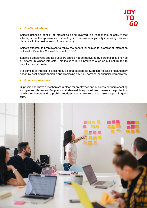

#### **• Conflict of interest**

Selecta defines a conflict of interest as being involved in a relationship or activity that affects, or has the appearance of affecting, an Employees objectivity in making business decisions in the best interest of the company.

Selecta expects its Employees to follow the general principles for Conflict of Interest as outlined in Selecta's Code of Conduct ("COC").

Selecta's Employees and its Suppliers should not be motivated by personal relationships or external business interests. This includes hiring practices such as but not limited to nepotism and cronyism.

If a conflict of interest is presented, Selecta expects its Suppliers to take precautionary action by declining partnership and disclosing any risk, personal or financial, immediately.

#### **• Grievance mechanism**

Suppliers shall have a mechanism in place for employees and business partners enabling anonymous grievances. Suppliers shall also maintain procedures to ensure the protection of whistle-blowers and to prohibit reprisals against workers who make a report in good faith.

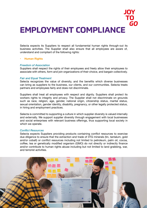## **EMPLOYMENT COMPLIANCE**

Selecta expects its Suppliers to respect all fundamental human rights through-out its business activities. The Supplier shall also ensure that all employees are aware of, understand and compliant of the following rights:

#### **• Human Rights**

#### *Freedom of Association*

Suppliers shall respect the rights of their employees and freely allow their employees to associate with others, form and join organizations of their choice, and bargain collectively.

#### *Fair and Equal Treatment*

Selecta recognizes the value of diversity, and the benefits which diverse businesses can bring as suppliers to the business, our clients, and our communities. Selecta treats partners and employees fairly and does not discriminate.

Suppliers shall treat all employees with respect and dignity. Suppliers shall protect its workers rights to integrity and privacy. The Supplier shall not discriminate on grounds such as race, religion, age, gender, national origin, citizenship status, marital status, sexual orientation, gender identity, disability, pregnancy, or other legally protected status, in hiring and employment practices.

Selecta is committed to supporting a culture in which supplier diversity is valued internally and externally. We support supplier diversity through engagement with local businesses and social enterprises with relevant business offerings, thus supporting local society in which we operate.

#### *Conflict Resources*

Selecta expects Suppliers providing products containing conflict resources to exercise due diligence to ensure that the extraction and trade of 3TG minerals (tin, tantalum, gold and/or cobalt) or conflict resources including not limited to petroleum, palm oil, cocoa, coffee, tea or genetically modified organism (GMO) do not directly or indirectly finance and/or contribute to human rights abuse including but not limited to land grabbing, war, and terrorist activities.

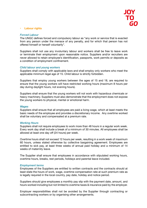#### **• Labour rights**

#### *Forced Labour*

The UNGC defines forced and compulsory labour as "any work or service that is exacted from any person under the menace of any penalty, and for which that person has not offered himself or herself voluntarily".

Suppliers shall not use any involuntary labour and workers shall be free to leave work or terminate their employment upon reasonable notice. Suppliers and/or recruiters are never allowed to retain employee's identification, passports, work permits or deposits as a condition of employment confinement.

#### *Child labour and young workers*

Suppliers shall comply with applicable laws and shall employ only workers who meet the applicable minimum legal age of 15. Child labour is strictly forbidden.

Suppliers that employ young workers between the ages of 15 and 18, are required to ensure that the young workers will have restricted working hours (maximum 8 hours per day during daylight hours, not evening hours).

Suppliers shall ensure that the young workers will not work with hazardous chemicals or heavy machinery. Suppliers must also demonstrate that the employment does not expose the young workers to physical, mental or emotional harm.

#### *Wages*

Suppliers shall ensure that all employees are paid a living wage, which at least meets the basic needs of the employee and provides a discretionary income. Any overtime worked shall be voluntary and compensated at a premium rate.

#### *Working Hours*

Suppliers shall not require employees to work more than 48 hours in a regular work week. Every work day shall include a break of a minimum of 30 minutes. All employees shall be allowed at least one day off (24 hours) per week.

Overtime hours shall not exceed 12 hours per week, resulting in a work week of maximum 60 hours, unless stated otherwise by collective bargaining agreement. Employees are entitled to sick pay, at least three weeks of annual paid holiday and a minimum of 14 weeks of maternity leave.

The Supplier shall ensure that employees in accordance with stipulated working hours, overtime hours, breaks, rest periods, holidays and parental leave included.

#### *Employment terms*

Employees of the Suppliers are entitled to written contracts and the contracts should at least state the hours of work, wage, overtime compensation rate at such premium rate as is legally required in the local country, pay date, holiday and notice period.

Suppliers should give employees a monthly pay slip with the payment date, amount, and hours worked including but not limited to overtime taxes & insurance paid by the employer.

Employer responsibilities shall not be avoided by the Supplier through contracting or subcontracting workers or by organising other arrangements.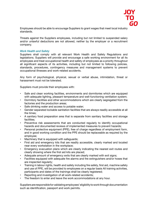

Employees should be able to encourage Suppliers to grant wages that meet local industry standards.

Threats against the Suppliers employees, including but not limited to suspended salary and/or unlawful deductions are not allowed, neither by the employer or a recruitment company.

#### *Work Health and Safety*

Suppliers shall comply with all relevant Work Health and Safety Regulations and legislations. Suppliers will provide and encourage a safe working environment for all its employees and treat occupational health and safety of employees as a priority throughout all significant aspects of its activities, including but not limited to following policies, standards, procedures, contingency measures and management systems to prevent occupational illnesses and work-related accidents.

Any form of psychological, physical, sexual or verbal abuse, intimidation, threat or harassment must not be tolerated.

Suppliers must provide their employees with:

- Safe and clean working facilities, environments and dormitories which are equipped with adequate lighting, pleasant temperature and well-functioning ventilation system;
- Dormitory facilities and other accommodations which are clearly segregated from the factories and the production areas;
- Safe drinking water and access to potable water;
- Gender separated lockable sanitation facilities that are always readily accessible at all the times;
- A sanitary food preparation area that is separate from sanitary facilities and storage facilities;
- Preventive risk assessments that are conducted regularly to identify occupational hazards and documented reviews of implemented measures to prevent hazards;
- Personal protective equipment (PPE), free of charge regardless of employment form, and in good working condition and the PPE should be replaceable as required by the employee;
- Machinery that is equipped with safeguards;
- First aid and emergency kits that are readily accessible, clearly marked and located near every workstation in the workplace;
- Emergency evacuation plans which are clearly indicating the nearest exit routes and clearly showing where the first aid kits are placed;
- Adequate amount of emergency exits that are clearly marked with exit signs;
- Facilities equipped with adequate fire alarms and fire extinguishers and/or hoses that are inspected regularly;
- Training in labour rights, health and safety including fire safety, first aid, machine safety and use of PPE, will be provided to employees on a regular basis All training activities, participants and dates of the trainings shall be clearly registered;
- Reporting and investigation of all work-related accidents;
- The freedom to enter and leave the work accommodations at any hour.

Suppliers are responsible for validating employees' eligibility to work through documentation such as identification, passport and work permits.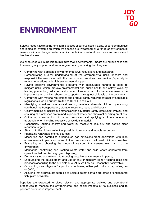## **ENVIRONMENT**

Selecta recognizes that the long-term success of our business, viability of our communities and biological systems on which we depend are threatened by a range of environmental issues – climate change, water scarcity, depletion of natural resources and associated biodiversity loss.

We encourage our Suppliers to minimize their environmental impact during business and to meaningfully support and encourage others by ensuring that they are:

- Complying with applicable environmental laws, regulations and standards;
- Demonstrating a clear understanding of the environmental risks, impacts and responsibilities associated with the products and services they provide (Especially in running operations with high environmental impact);
- Having effective environmental programs with measurable targets in place to mitigate risks, which improve environmental and public health and safety levels by leading prevention, reduction and control of serious harm to the environment - the implementation of which should be supported throughout all levels of the company;
- Complying with material restrictions and product safety requirements set by applicable regulations such as but not limited to REACH and RoHS;
- Identifying hazardous materials and keeping them to an absolute minimum by ensuring safe handling, transportation, storage, recycling, reuse and disposal;
- Clearly marking all hazardous materials with a Material Safety Data Sheet (MSDS) and ensuring all employees are trained in product safety and chemical handling practices;
- Optimizing consumption of natural resources and applying a circular economy approach when handling excessive or residual material;
- Responsibly utilizing energy and water by measuring regularly and setting clear reduction targets;
- Striving, to the highest extent as possible, to reduce and recycle resources:
- Prioritizing renewable energy sources;
- Measuring and controlling greenhouse gas emissions from operations with high environmental impacts and intend to keep emissions to the lowest minimum possible;
- Evaluating and choosing the mode of transport that causes least harm to the environment;
- Monitoring, controlling and treating waste water and solid waste generated from operations before discharging or disposing;
- Demonstrating commitment to reducing negative environmental impacts;
- Encouraging the development and use of environmentally friendly technologies and practices according to the principle of ALARA (As Low as Reasonably Achievable);
- Conducting due diligence for products containing either palm oil, cocoa, coffee, tea or GMO;
- Assuring that all products supplied to Selecta do not contain protected or endangered fish, plant or wildlife.

Suppliers are expected to place relevant and appropriate policies and operational procedures to manage the environmental and social impacts of its business and to promote continuous improvement.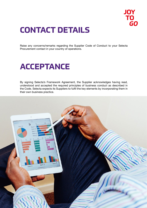

## **CONTACT DETAILS**

Raise any concerns/remarks regarding the Supplier Code of Conduct to your Selecta Procurement contact in your country of operations.

## **ACCEPTANCE**

By signing Selecta's Framework Agreement, the Supplier acknowledges having read, understood and accepted the required principles of business conduct as described in the Code. Selecta expects its Suppliers to fulfil the key elements by incorporating them in their own business practice.